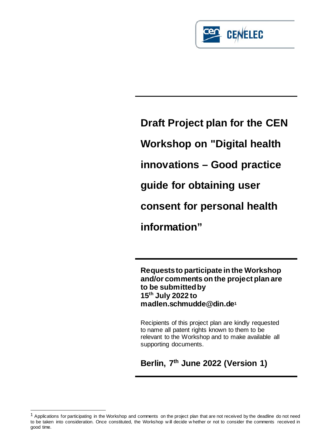

**Draft Project plan for the CEN Workshop on "Digital health innovations – Good practice guide for obtaining user consent for personal health information"**

**Requests to participate in the Workshop and/or comments on the project plan are to be submitted by 15th July 2022 to madlen.schmudde@din.d[e1](#page-0-0)**

Recipients of this project plan are kindly requested to name all patent rights known to them to be relevant to the Workshop and to make available all supporting documents.

**Berlin, 7th June 2022 (Version 1)**

<span id="page-0-0"></span> $<sup>1</sup>$  Applications for participating in the Workshop and comments on the project plan that are not received by the deadline do not need</sup> to be taken into consideration. Once constituted, the Workshop w ill decide w hether or not to consider the comments received in good time.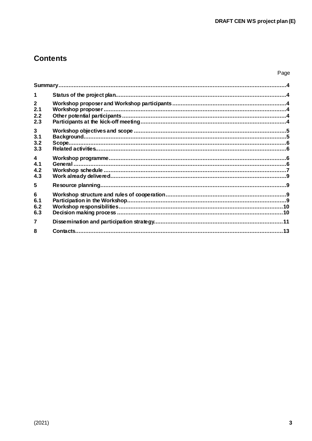# **Contents**

| $\mathbf{2}$<br>2.1<br>2.2<br>2.3            |  |
|----------------------------------------------|--|
| $3\phantom{a}$<br>3.1<br>3.2<br>3.3          |  |
| $\overline{\mathbf{4}}$<br>4.1<br>4.2<br>4.3 |  |
| 5                                            |  |
| 6<br>6.1<br>6.2<br>6.3                       |  |
| 7                                            |  |
| 8                                            |  |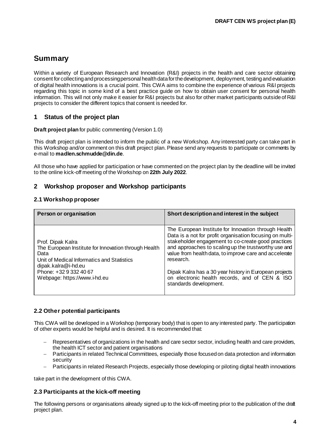# <span id="page-2-0"></span>**Summary**

Within a variety of European Research and Innovation (R&I) projects in the health and care sector obtaining consent for collecting and processing personal health data for the development, deployment, testing and evaluation of digital health innovations is a crucial point. This CWA aims to combine the experience of various R&I projects regarding this topic in some kind of a best practice guide on how to obtain user consent for personal health information. This will not only make it easier for R&I projects but also for other market participants outside of R&I projects to consider the different topics that consent is needed for.

## <span id="page-2-1"></span>**1 Status of the project plan**

**Draft project plan** for public commenting (Version 1.0)

This draft project plan is intended to inform the public of a new Workshop. Any interested party can take part in this Workshop and/or comment on this draft project plan. Please send any requests to participate or comments by e-mail to **madlen.schmudde@din.de**.

All those who have applied for participation or have commented on the project plan by the deadline will be invited to the online kick-off meeting of the Workshop on **22th July 2022**.

## <span id="page-2-2"></span>**2 Workshop proposer and Workshop participants**

#### <span id="page-2-3"></span>**2.1 Workshop proposer**

| Person or organisation                                                                                                                                                                                           | Short description and interest in the subject                                                                                                                                                                                                                                                                                                                                                                     |
|------------------------------------------------------------------------------------------------------------------------------------------------------------------------------------------------------------------|-------------------------------------------------------------------------------------------------------------------------------------------------------------------------------------------------------------------------------------------------------------------------------------------------------------------------------------------------------------------------------------------------------------------|
| Prof. Dipak Kalra<br>The European Institute for Innovation through Health<br>Data<br>Unit of Medical Informatics and Statistics<br>dipak.kalra@i-hd.eu<br>Phone: +32 9 332 40 67<br>Webpage: https://www.i-hd.eu | The European Institute for Innovation through Health<br>Data is a not for profit organisation focusing on multi-<br>stakeholder engagement to co-create good practices<br>and approaches to scaling up the trustworthy use and<br>value from health data, to improve care and accelerate<br>research.<br>Dipak Kalra has a 30 year history in European projects<br>on electronic health records, and of CEN & ISO |
|                                                                                                                                                                                                                  | standards development.                                                                                                                                                                                                                                                                                                                                                                                            |

#### <span id="page-2-4"></span>**2.2 Other potential participants**

This CWA will be developed in a Workshop (temporary body) that is open to any interested party. The participation of other experts would be helpful and is desired. It is recommended that:

- Representatives of organizations in the health and care sector sector, including health and care providers, the health ICT sector and patient organisations
- − Participants in related Technical Committees, especially those focused on data protection and information security
	- Participants in related Research Projects, especially those developing or piloting digital health innovations

take part in the development of this CWA.

#### <span id="page-2-5"></span>**2.3 Participants at the kick-off meeting**

The following persons or organisations already signed up to the kick-off meeting prior to the publication of the draft project plan.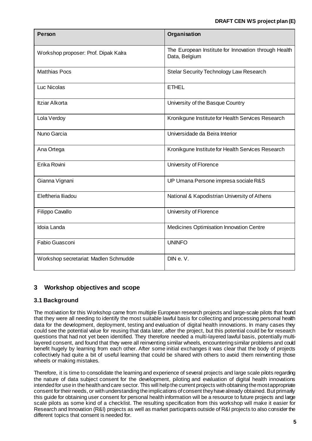| <b>Person</b>                         | Organisation                                                          |
|---------------------------------------|-----------------------------------------------------------------------|
| Workshop proposer: Prof. Dipak Kalra  | The European Institute for Innovation through Health<br>Data, Belgium |
| <b>Matthias Pocs</b>                  | Stelar Security Technology Law Research                               |
| Luc Nicolas                           | <b>ETHEL</b>                                                          |
| Itziar Alkorta                        | University of the Basque Country                                      |
| Lola Verdoy                           | Kronikgune Institute for Health Services Research                     |
| Nuno Garcia                           | Universidade da Beira Interior                                        |
| Ana Ortega                            | Kronikgune Institute for Health Services Research                     |
| Erika Rovini                          | University of Florence                                                |
| Gianna Vignani                        | UP Umana Persone impresa sociale R&S                                  |
| Eleftheria lliadou                    | National & Kapodistrian University of Athens                          |
| Filippo Cavallo                       | University of Florence                                                |
| Idoia Landa                           | Medicines Optimisation Innovation Centre                              |
| Fabio Guasconi                        | <b>UNINFO</b>                                                         |
| Workshop secretariat: Madlen Schmudde | DIN e.V.                                                              |

# <span id="page-3-0"></span>**3 Workshop objectives and scope**

## <span id="page-3-1"></span>**3.1 Background**

The motivation for this Workshop came from multiple European research projects and large-scale pilots that found that they were all needing to identify the most suitable lawful basis for collecting and processing personal health data for the development, deployment, testing and evaluation of digital health innovations. In many cases they could see the potential value for reusing that data later, after the project, but this potential could be for research questions that had not yet been identified. They therefore needed a multi-layered lawful basis, potentially multilayered consent, and found that they were all reinventing similar wheels, encountering similar problems and could benefit hugely by learning from each other. After some initial exchanges it was clear that the body of projects collectively had quite a bit of useful learning that could be shared with others to avoid them reinventing those wheels or making mistakes.

Therefore, it is time to consolidate the learning and experience of several projects and large scale pilots regarding the nature of data subject consent for the development, piloting and evaluation of digital health innovations intended for use in the health and care sector. This will help the current projects with obtaining the most appropriate consent for their needs, or with understanding the implications of consent they have already obtained. But primarily this guide for obtaining user consent for personal health information will be a resource to future projects and large scale pilots as some kind of a checklist. The resulting specification from this workshop will make it easier for Research and Innovation (R&I) projects as well as market participants outside of R&I projects to also consider the different topics that consent is needed for.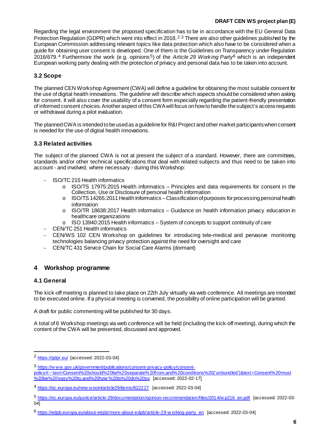Regarding the legal environment the proposed specification has to be in accordance with the EU General Data Protection Regulation (GDPR) which went into effect in [2](#page-4-4)018.<sup>2,[3](#page-4-5)</sup> There are also other guidelines published by the European Commission addressing relevant topics like data protection which also have to be considered when a guide for obtaining user consent is developed. One of them is the Guidelines on Transparency under Regulation 2016/679. [4](#page-4-6) Furthermore the work (e.g. opinions [5](#page-4-7)) of the *Article 29 Working Party*[6](#page-4-8) which is an independent European working party dealing with the protection of privacy and personal data has to be taken into account.

## <span id="page-4-0"></span>**3.2 Scope**

The planned CEN Workshop Agreement (CWA) will define a guideline for obtaining the most suitable consent for the use of digital health innovations. The guideline will describe which aspects should be considered when asking for consent. It will also cover the usability of a consent form especially regarding the patient-friendly presentation of informed consent choices. Another aspect of this CWA will focus on how to handle the subject's access requests or withdrawal during a pilot evaluation.

The planned CWA is intended to be used as a guideline for R&I Project and other market participants when consent is needed for the use of digital health innovations.

#### <span id="page-4-1"></span>**3.3 Related activities**

The subject of the planned CWA is not at present the subject of a standard. However, there are committees, standards and/or other technical specifications that deal with related subjects and thus need to be taken into account - and involved, where necessary - during this Workshop:

- − ISO/TC 215 Health informatics
	- $\circ$  ISO/TS 17975:2015 Health informatics Principles and data requirements for consent in the Collection, Use or Disclosure of personal health information
	- $\circ$  ISO/TS 14265:2011 Health Informatics Classification of purposes for processing personal health information
	- $\circ$  ISO/TR 18638:2017 Health informatics Guidance on health information privacy education in healthcare organizations
	- o ISO 13940:2015 Health informatics System of concepts to support continuity of care
- − CEN/TC 251 Health informatics
- − CEN/WS 102 CEN Workshop on guidelines for introducing tele-medical and pervasive monitoring technologies balancing privacy protection against the need for oversight and care
- − CEN/TC 431 Service Chain for Social Care Alarms (dormant)

#### <span id="page-4-2"></span>**4 Workshop programme**

#### <span id="page-4-3"></span>**4.1 General**

The kick-off meeting is planned to take place on 22th July virtually via web conference. All meetings are intended to be executed online. If a physical meeting is convened, the possibility of online participation will be granted.

A draft for public commenting will be published for 30 days.

A total of 6 Workshop meetings via web conference will be held (including the kick-off meeting), during which the content of the CWA will be presented, discussed and approved.

<span id="page-4-4"></span> <sup>2</sup> <https://gdpr.eu/> [accessed: 2022-03-04]

<span id="page-4-5"></span><sup>3</sup> [https://w ww.gov.uk/government/publications/consent-privacy-policy/consent-](https://www.gov.uk/government/publications/consent-privacy-policy/consent-policy#:%7E:text=Consent%20should%20be%20separate%20from,and%20conditions%20()

[policy#:~:text=Consent%20should%20be%20separate%20from,and%20conditions%20\('unbundled'\)&text=Consent%20must](https://www.gov.uk/government/publications/consent-privacy-policy/consent-policy#:%7E:text=Consent%20should%20be%20separate%20from,and%20conditions%20() [%20be%20'easy%20to,and%20how %20to%20do%20so](https://www.gov.uk/government/publications/consent-privacy-policy/consent-policy#:%7E:text=Consent%20should%20be%20separate%20from,and%20conditions%20() [accessed: 2022-02-17]

<span id="page-4-6"></span><sup>4</sup> [https://ec.europa.eu/new sroom/article29/items/622227](https://ec.europa.eu/newsroom/article29/items/622227) [accessed: 2022-03-04]

<span id="page-4-7"></span><sup>5</sup> [https://ec.europa.eu/justice/article-29/documentation/opinion-recommendation/files/2014/w p216\\_en.pdf](https://ec.europa.eu/justice/article-29/documentation/opinion-recommendation/files/2014/wp216_en.pdf) [accessed: 2022-03-  $04]$ 

<span id="page-4-8"></span><sup>6</sup> [https://edpb.europa.eu/about-edpb/more-about-edpb/article-29-w orking-party\\_en](https://edpb.europa.eu/about-edpb/more-about-edpb/article-29-working-party_en) [accessed: 2022-03-04]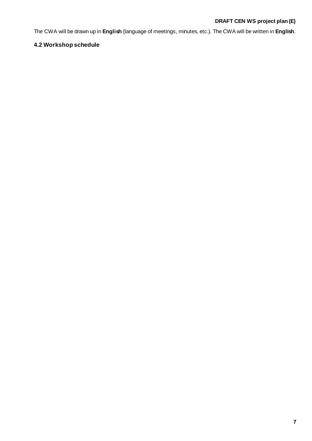The CWA will be drawn up in **English** (language of meetings, minutes, etc.). The CWA will be written in **English**.

# <span id="page-5-0"></span>**4.2 Workshop schedule**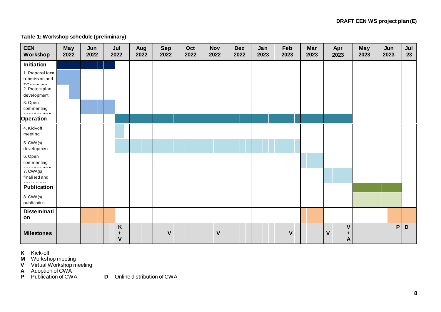## **Table 1: Workshop schedule (preliminary)**

| <b>CEN</b><br>Workshop                        | May<br>2022 | Jun<br>2022 | Jul<br>2022            | Aug<br>2022 | <b>Sep</b><br>2022 | Oct<br>2022 | <b>Nov</b><br>2022 | <b>Dez</b><br>2022 | Jan<br>2023 | Feb<br>2023  | Mar<br>2023 | Apr<br>2023                 | May<br>2023 | Jun<br>2023 | Jul<br>23 |
|-----------------------------------------------|-------------|-------------|------------------------|-------------|--------------------|-------------|--------------------|--------------------|-------------|--------------|-------------|-----------------------------|-------------|-------------|-----------|
| Initiation                                    |             |             |                        |             |                    |             |                    |                    |             |              |             |                             |             |             |           |
| 1. Proposal form<br>submission and<br>$T_{0}$ |             |             |                        |             |                    |             |                    |                    |             |              |             |                             |             |             |           |
| 2. Project plan<br>development                |             |             |                        |             |                    |             |                    |                    |             |              |             |                             |             |             |           |
| 3. Open<br>commenting                         |             |             |                        |             |                    |             |                    |                    |             |              |             |                             |             |             |           |
| Operation                                     |             |             |                        |             |                    |             |                    |                    |             |              |             |                             |             |             |           |
| 4. Kick-off<br>meeting                        |             |             |                        |             |                    |             |                    |                    |             |              |             |                             |             |             |           |
| 5. CWA(s)<br>development                      |             |             |                        |             |                    |             |                    |                    |             |              |             |                             |             |             |           |
| 6. Open<br>commenting                         |             |             |                        |             |                    |             |                    |                    |             |              |             |                             |             |             |           |
| 7. CWA(s)<br>finalised and                    |             |             |                        |             |                    |             |                    |                    |             |              |             |                             |             |             |           |
| <b>Publication</b>                            |             |             |                        |             |                    |             |                    |                    |             |              |             |                             |             |             |           |
| 8. CWA(s)<br>publication                      |             |             |                        |             |                    |             |                    |                    |             |              |             |                             |             |             |           |
| Disseminati<br>on                             |             |             |                        |             |                    |             |                    |                    |             |              |             |                             |             |             |           |
| <b>Milestones</b>                             |             |             | $K_{\frac{1}{2}}$<br>٠ |             | $\mathbf{V}$       |             | V                  |                    |             | $\mathbf{V}$ |             | $\mathbf{V}$<br>V<br>٠<br>A |             | P           | D         |

**K** Kick-off

**M** Workshop meeting

**V** Virtual Workshop meeting

**A** Adoption of CWA

**P** Publication of CWA **D** Online distribution of CWA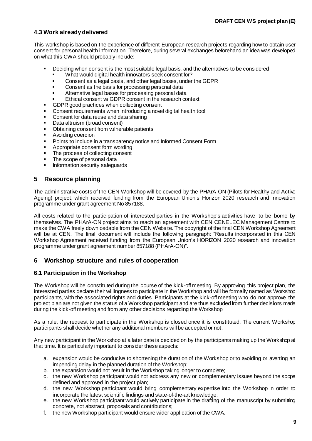#### <span id="page-7-0"></span>**4.3 Work already delivered**

This workshop is based on the experience of different European research projects regarding how to obtain user consent for personal health information. Therefore, during several exchanges beforehand an idea was developed on what this CWA should probably include:

- Deciding when consent is the most suitable legal basis, and the alternatives to be considered
	- What would digital health innovators seek consent for?
	- Consent as a legal basis, and other legal bases, under the GDPR
	- Consent as the basis for processing personal data
	- Alternative legal bases for processing personal data
	- Ethical consent vs GDPR consent in the research context
- GDPR good practices when collecting consent
- Consent requirements when introducing a novel digital health tool
- Consent for data reuse and data sharing
- Data altruism (broad consent)
- Obtaining consent from vulnerable patients
- Avoiding coercion
- Points to include in a transparency notice and Informed Consent Form
- Appropriate consent form wording
- The process of collecting consent
- The scope of personal data
- Information security safeguards

## <span id="page-7-1"></span>**5 Resource planning**

The administrative costs of the CEN Workshop will be covered by the PHArA-ON (Pilots for Healthy and Active Ageing) project, which received funding from the European Union's Horizon 2020 research and innovation programme under grant agreement No 857188.

All costs related to the participation of interested parties in the Workshop's activities have to be borne by themselves. The PHArA-ON project aims to reach an agreement with CEN CENELEC Management Centre to make the CWA freely downloadable from the CEN Website. The copyright of the final CEN Workshop Agreement will be at CEN. The final document will include the following paragraph: "Results incorporated in this CEN Workshop Agreement received funding from the European Union's HORIZON 2020 research and innovation programme under grant agreement number 857188 (PHArA-ON)".

#### <span id="page-7-2"></span>**6 Workshop structure and rules of cooperation**

#### <span id="page-7-3"></span>**6.1 Participation in the Workshop**

The Workshop will be constituted during the course of the kick-off meeting. By approving this project plan, the interested parties declare their willingness to participate in the Workshop and will be formally named as Workshop participants, with the associated rights and duties. Participants at the kick-off meeting who do not approve the project plan are not given the status of a Workshop participant and are thus excluded from further decisions made during the kick-off meeting and from any other decisions regarding the Workshop.

As a rule, the request to participate in the Workshop is closed once it is constituted. The current Workshop participants shall decide whether any additional members will be accepted or not.

Any new participant in the Workshop at a later date is decided on by the participants making up the Workshop at that time. It is particularly important to consider these aspects:

- a. expansion would be conducive to shortening the duration of the Workshop or to avoiding or averting an impending delay in the planned duration of the Workshop;
- b. the expansion would not result in the Workshop taking longer to complete;
- c. the new Workshop participant would not address any new or complementary issues beyond the scope defined and approved in the project plan;
- d. the new Workshop participant would bring complementary expertise into the Workshop in order to incorporate the latest scientific findings and state-of-the-art knowledge;
- e. the new Workshop participant would actively participate in the drafting of the manuscript by submitting concrete, not abstract, proposals and contributions;
- f. the new Workshop participant would ensure wider application of the CWA.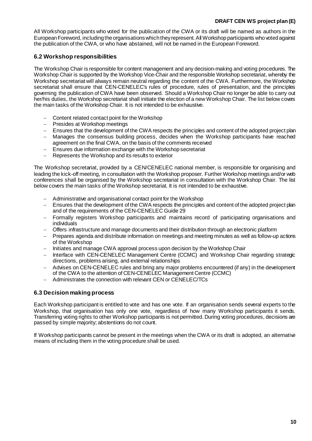All Workshop participants who voted for the publication of the CWA or its draft will be named as authors in the European Foreword, including the organisations which they represent. All Workshop participants who voted against the publication of the CWA, or who have abstained, will not be named in the European Foreword.

### <span id="page-8-0"></span>**6.2 Workshop responsibilities**

The Workshop Chair is responsible for content management and any decision-making and voting procedures. The Workshop Chair is supported by the Workshop Vice-Chair and the responsible Workshop secretariat, whereby the Workshop secretariat will always remain neutral regarding the content of the CWA. Furthermore, the Workshop secretariat shall ensure that CEN-CENELEC's rules of procedure, rules of presentation, and the principles governing the publication of CWA have been observed. Should a Workshop Chair no longer be able to carry out her/his duties, the Workshop secretariat shall initiate the election of a new Workshop Chair. The list below covers the main tasks of the Workshop Chair. It is not intended to be exhaustive.

- Content related contact point for the Workshop
- − Presides at Workshop meetings
- − Ensures that the development of the CWA respects the principles and content of the adopted project plan
- − Manages the consensus building process, decides when the Workshop participants have reached agreement on the final CWA, on the basis of the comments received
- Ensures due information exchange with the Workshop secretariat
- − Represents the Workshop and its results to exterior

The Workshop secretariat, provided by a CEN/CENELEC national member, is responsible for organising and leading the kick-off meeting, in consultation with the Workshop proposer. Further Workshop meetings and/or web conferences shall be organised by the Workshop secretariat in consultation with the Workshop Chair. The list below covers the main tasks of the Workshop secretariat. It is not intended to be exhaustive.

- − Administrative and organisational contact point for the Workshop
- Ensures that the development of the CWA respects the principles and content of the adopted project plan and of the requirements of the CEN-CENELEC Guide 29
- Formally registers Workshop participants and maintains record of participating organisations and individuals
- − Offers infrastructure and manage documents and their distribution through an electronic platform
- − Prepares agenda and distribute information on meetings and meeting minutes as well as follow-up actions of the Workshop
- − Initiates and manage CWA approval process upon decision by the Workshop Chair
- − Interface with CEN-CENELEC Management Centre (CCMC) and Workshop Chair regarding strategic directions, problems arising, and external relationships
- − Advises on CEN-CENELEC rules and bring any major problems encountered (if any) in the development of the CWA to the attention of CEN-CENELEC Management Centre (CCMC)
- − Administrates the connection with relevant CEN or CENELEC/TCs

#### <span id="page-8-1"></span>**6.3 Decision making process**

Each Workshop participant is entitled to vote and has one vote. If an organisation sends several experts to the Workshop, that organisation has only one vote, regardless of how many Workshop participants it sends. Transferring voting rights to other Workshop participants is not permitted. During voting procedures, decisions are passed by simple majority; abstentions do not count.

If Workshop participants cannot be present in the meetings when the CWA or its draft is adopted, an alternative means of including them in the voting procedure shall be used.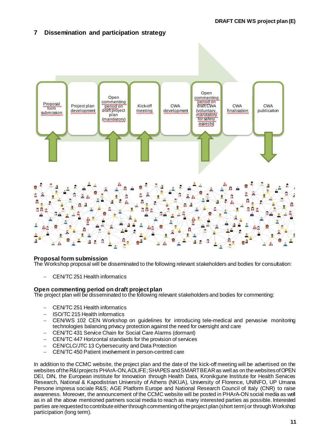# <span id="page-9-0"></span>**7 Dissemination and participation strategy**



#### **Proposal form submission**

The Workshop proposal will be disseminated to the following relevant stakeholders and bodies for consultation:

− CEN/TC 251 Health informatics

#### **Open commenting period on draft project plan**

The project plan will be disseminated to the following relevant stakeholders and bodies for commenting:

- − CEN/TC 251 Health informatics
- − ISO/TC 215 Health informatics
- − CEN/WS 102 CEN Workshop on guidelines for introducing tele-medical and pervasive monitoring technologies balancing privacy protection against the need for oversight and care
- − CEN/TC 431 Service Chain for Social Care Alarms (dormant)
- − CEN/TC 447 Horizontal standards for the provision of services
- − CEN/CLC/JTC 13 Cybersecurity and Data Protection
- − CEN/TC 450 Patient involvement in person-centred care

In addition to the CCMC website, the project plan and the date of the kick-off meeting will be advertised on the websites of the R&I projects PHArA-ON, ADLIFE; SHAPES and SMART BEAR as well as on the websites of OPEN DEI, DIN, the European institute for Innovation through Health Data, Kronikgune Institute for Health Services Research, National & Kapodistrian University of Athens (NKUA), University of Florence, UNINFO, UP Umana Persone impresa sociale R&S; AGE Platform Europe and National Research Council of Italy (CNR) to raise awareness. Moreover, the announcement of the CCMC website will be posted in PHArA-ON social media as well as in all the above mentioned partners social media to reach as many interested parties as possible. Interested parties are requested to contribute either through commenting of the project plan (short term) or through Workshop participation (long term).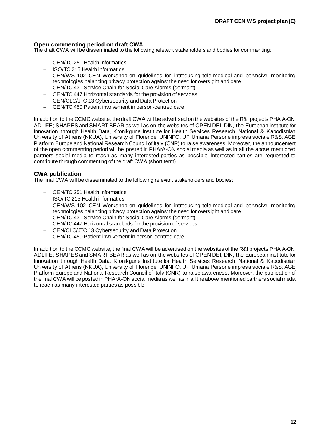#### **Open commenting period on draft CWA**

The draft CWA will be disseminated to the following relevant stakeholders and bodies for commenting:

- − CEN/TC 251 Health informatics
- − ISO/TC 215 Health informatics
- − CEN/WS 102 CEN Workshop on guidelines for introducing tele-medical and pervasive monitoring technologies balancing privacy protection against the need for oversight and care
- − CEN/TC 431 Service Chain for Social Care Alarms (dormant)
- − CEN/TC 447 Horizontal standards for the provision of services
- − CEN/CLC/JTC 13 Cybersecurity and Data Protection
- − CEN/TC 450 Patient involvement in person-centred care

In addition to the CCMC website, the draft CWA will be advertised on the websites of the R&I projects PHArA-ON, ADLIFE; SHAPES and SMART BEAR as well as on the websites of OPEN DEI, DIN, the European institute for Innovation through Health Data, Kronikgune Institute for Health Services Research, National & Kapodistrian University of Athens (NKUA), University of Florence, UNINFO, UP Umana Persone impresa sociale R&S; AGE Platform Europe and National Research Council of Italy (CNR) to raise awareness. Moreover, the announcement of the open commenting period will be posted in PHArA-ON social media as well as in all the above mentioned partners social media to reach as many interested parties as possible. Interested parties are requested to contribute through commenting of the draft CWA (short term).

#### **CWA publication**

The final CWA will be disseminated to the following relevant stakeholders and bodies:

- − CEN/TC 251 Health informatics
- − ISO/TC 215 Health informatics
- − CEN/WS 102 CEN Workshop on guidelines for introducing tele-medical and pervasive monitoring technologies balancing privacy protection against the need for oversight and care
- − CEN/TC 431 Service Chain for Social Care Alarms (dormant)
- − CEN/TC 447 Horizontal standards for the provision of services
- − CEN/CLC/JTC 13 Cybersecurity and Data Protection
- − CEN/TC 450 Patient involvement in person-centred care

In addition to the CCMC website, the final CWA will be advertised on the websites of the R&I projects PHArA-ON, ADLIFE; SHAPES and SMART BEAR as well as on the websites of OPEN DEI, DIN, the European institute for Innovation through Health Data, Kronikgune Institute for Health Services Research, National & Kapodistrian University of Athens (NKUA), University of Florence, UNINFO, UP Umana Persone impresa sociale R&S; AGE Platform Europe and National Research Council of Italy (CNR) to raise awareness. Moreover, the publication of the final CWA will be posted in PHArA-ON social media as well as in all the above mentioned partners social media to reach as many interested parties as possible.